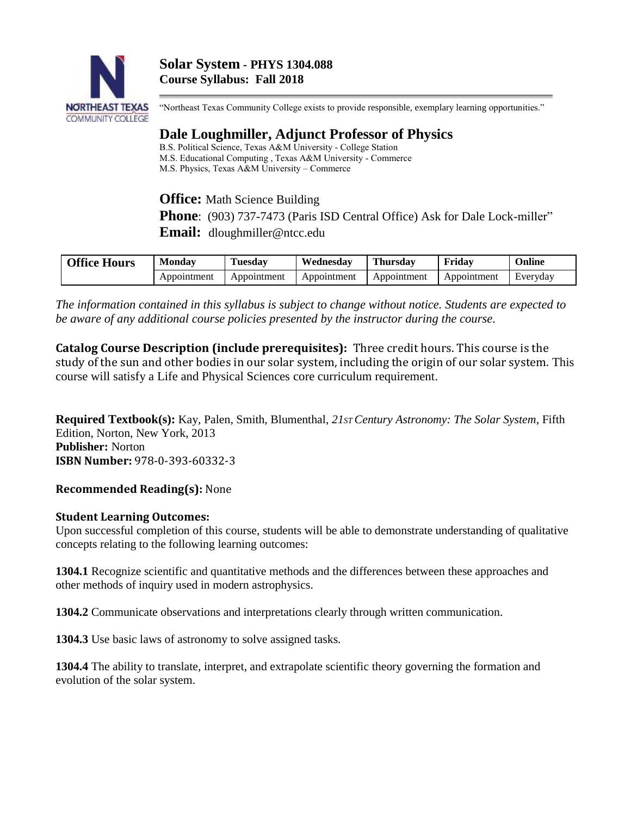

"Northeast Texas Community College exists to provide responsible, exemplary learning opportunities."

# **Dale Loughmiller, Adjunct Professor of Physics**

B.S. Political Science, Texas A&M University - College Station M.S. Educational Computing , Texas A&M University - Commerce M.S. Physics, Texas A&M University – Commerce

**Office:** Math Science Building

**Phone**: (903) 737-7473 (Paris ISD Central Office) Ask for Dale Lock-miller"

**Email:** dloughmiller@ntcc.edu

| <b>Office Hours</b> | <b>Monday</b> | Tuesday     | Wednesdav   | <b>Thursday</b> | Friday      | Online   |
|---------------------|---------------|-------------|-------------|-----------------|-------------|----------|
|                     | Appointment   | Appointment | Appointment | Appointment     | Appointment | Everyday |

*The information contained in this syllabus is subject to change without notice. Students are expected to be aware of any additional course policies presented by the instructor during the course.*

**Catalog Course Description (include prerequisites):** Three credit hours. This course is the study of the sun and other bodies in our solar system, including the origin of our solar system. This course will satisfy a Life and Physical Sciences core curriculum requirement.

**Required Textbook(s):** Kay, Palen, Smith, Blumenthal, *21ST Century Astronomy: The Solar System*, Fifth Edition, Norton, New York, 2013 **Publisher:** Norton **ISBN Number:** 978-0-393-60332-3

### **Recommended Reading(s):** None

### **Student Learning Outcomes:**

Upon successful completion of this course, students will be able to demonstrate understanding of qualitative concepts relating to the following learning outcomes:

**1304.1** Recognize scientific and quantitative methods and the differences between these approaches and other methods of inquiry used in modern astrophysics.

**1304.2** Communicate observations and interpretations clearly through written communication.

**1304.3** Use basic laws of astronomy to solve assigned tasks.

**1304.4** The ability to translate, interpret, and extrapolate scientific theory governing the formation and evolution of the solar system.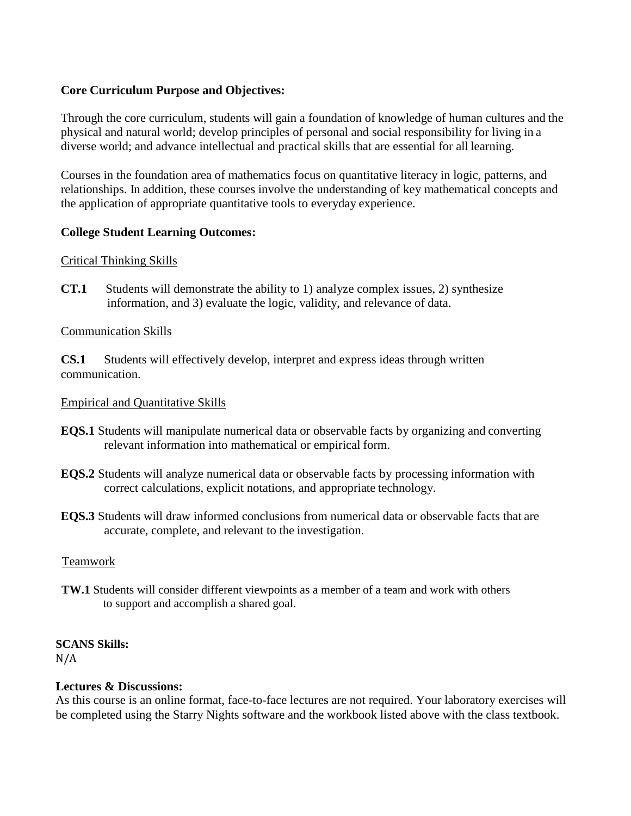## **Core Curriculum Purpose and Objectives:**

Through the core curriculum, students will gain a foundation of knowledge of human cultures and the physical and natural world; develop principles of personal and social responsibility for living in a diverse world; and advance intellectual and practical skills that are essential for all learning.

Courses in the foundation area of mathematics focus on quantitative literacy in logic, patterns, and relationships. In addition, these courses involve the understanding of key mathematical concepts and the application of appropriate quantitative tools to everyday experience.

## **College Student Learning Outcomes:**

### Critical Thinking Skills

**CT.1** Students will demonstrate the ability to 1) analyze complex issues, 2) synthesize information, and 3) evaluate the logic, validity, and relevance of data.

### Communication Skills

**CS.1** Students will effectively develop, interpret and express ideas through written communication.

## Empirical and Quantitative Skills

- **EQS.1** Students will manipulate numerical data or observable facts by organizing and converting relevant information into mathematical or empirical form.
- **EQS.2** Students will analyze numerical data or observable facts by processing information with correct calculations, explicit notations, and appropriate technology.
- **EQS.3** Students will draw informed conclusions from numerical data or observable facts that are accurate, complete, and relevant to the investigation.

### Teamwork

 **TW.1** Students will consider different viewpoints as a member of a team and work with others to support and accomplish a shared goal.

## **SCANS Skills:**

N/A

### **Lectures & Discussions:**

As this course is an online format, face-to-face lectures are not required. Your laboratory exercises will be completed using the Starry Nights software and the workbook listed above with the class textbook.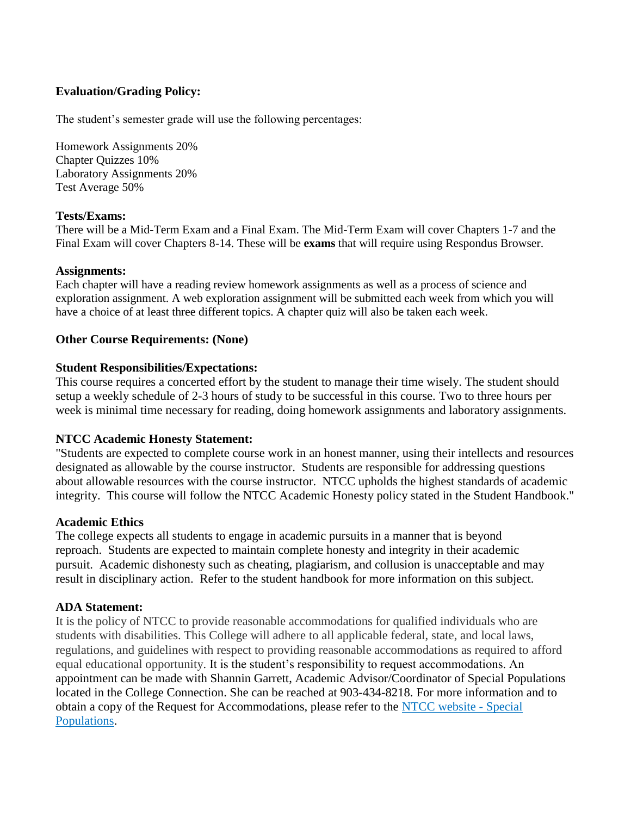## **Evaluation/Grading Policy:**

The student's semester grade will use the following percentages:

Homework Assignments 20% Chapter Quizzes 10% Laboratory Assignments 20% Test Average 50%

## **Tests/Exams:**

There will be a Mid-Term Exam and a Final Exam. The Mid-Term Exam will cover Chapters 1-7 and the Final Exam will cover Chapters 8-14. These will be **exams** that will require using Respondus Browser.

## **Assignments:**

Each chapter will have a reading review homework assignments as well as a process of science and exploration assignment. A web exploration assignment will be submitted each week from which you will have a choice of at least three different topics. A chapter quiz will also be taken each week.

## **Other Course Requirements: (None)**

## **Student Responsibilities/Expectations:**

This course requires a concerted effort by the student to manage their time wisely. The student should setup a weekly schedule of 2-3 hours of study to be successful in this course. Two to three hours per week is minimal time necessary for reading, doing homework assignments and laboratory assignments.

### **NTCC Academic Honesty Statement:**

"Students are expected to complete course work in an honest manner, using their intellects and resources designated as allowable by the course instructor. Students are responsible for addressing questions about allowable resources with the course instructor. NTCC upholds the highest standards of academic integrity. This course will follow the NTCC Academic Honesty policy stated in the Student Handbook."

### **Academic Ethics**

The college expects all students to engage in academic pursuits in a manner that is beyond reproach. Students are expected to maintain complete honesty and integrity in their academic pursuit. Academic dishonesty such as cheating, plagiarism, and collusion is unacceptable and may result in disciplinary action. Refer to the student handbook for more information on this subject.

## **ADA Statement:**

It is the policy of NTCC to provide reasonable accommodations for qualified individuals who are students with disabilities. This College will adhere to all applicable federal, state, and local laws, regulations, and guidelines with respect to providing reasonable accommodations as required to afford equal educational opportunity. It is the student's responsibility to request accommodations. An appointment can be made with Shannin Garrett, Academic Advisor/Coordinator of Special Populations located in the College Connection. She can be reached at 903-434-8218. For more information and to obtain a copy of the Request for Accommodations, please refer to the [NTCC website -](http://www.ntcc.edu/index.php?module=Pagesetter&func=viewpub&tid=111&pid=1) Special [Populations.](http://www.ntcc.edu/index.php?module=Pagesetter&func=viewpub&tid=111&pid=1)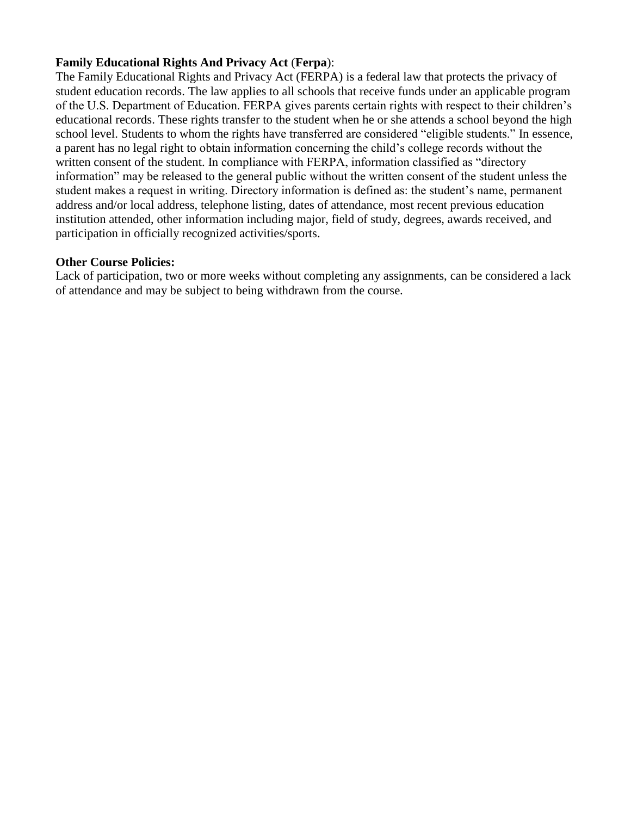## **Family Educational Rights And Privacy Act** (**Ferpa**):

The Family Educational Rights and Privacy Act (FERPA) is a federal law that protects the privacy of student education records. The law applies to all schools that receive funds under an applicable program of the U.S. Department of Education. FERPA gives parents certain rights with respect to their children's educational records. These rights transfer to the student when he or she attends a school beyond the high school level. Students to whom the rights have transferred are considered "eligible students." In essence, a parent has no legal right to obtain information concerning the child's college records without the written consent of the student. In compliance with FERPA, information classified as "directory information" may be released to the general public without the written consent of the student unless the student makes a request in writing. Directory information is defined as: the student's name, permanent address and/or local address, telephone listing, dates of attendance, most recent previous education institution attended, other information including major, field of study, degrees, awards received, and participation in officially recognized activities/sports.

### **Other Course Policies:**

Lack of participation, two or more weeks without completing any assignments, can be considered a lack of attendance and may be subject to being withdrawn from the course.